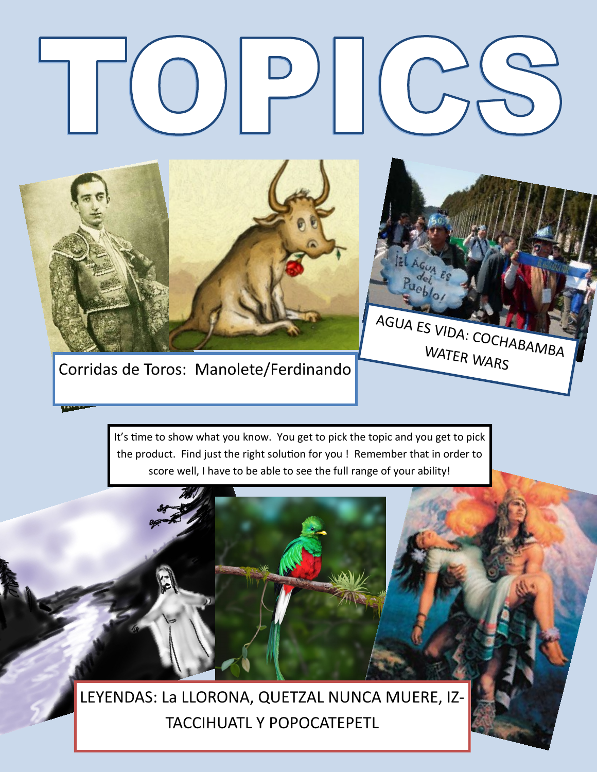

Corridas de Toros: Manolete/Ferdinando

It's time to show what you know. You get to pick the topic and you get to pick the product. Find just the right solution for you ! Remember that in order to score well, I have to be able to see the full range of your ability!

AGUA ES VIDA: COCHABAMBA

 $E_{S}$ 

WATER WARS

LEYENDAS: La LLORONA, QUETZAL NUNCA MUERE, IZ-TACCIHUATL Y POPOCATEPETL